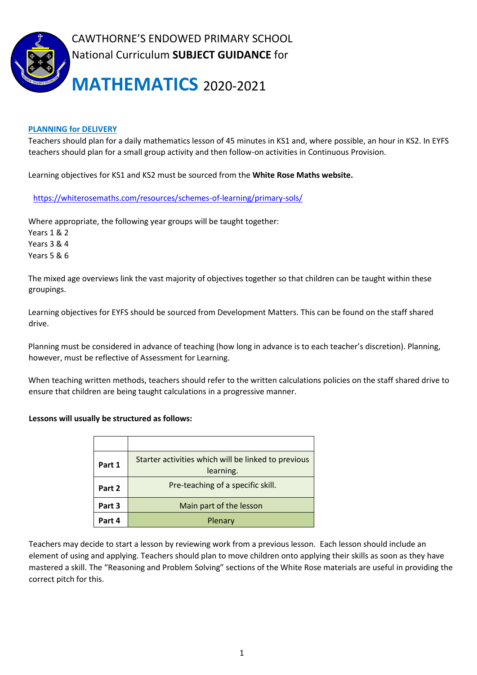

# **PLANNING for DELIVERY**

Teachers should plan for a daily mathematics lesson of 45 minutes in KS1 and, where possible, an hour in KS2. In EYFS teachers should plan for a small group activity and then follow-on activities in Continuous Provision.

Learning objectives for KS1 and KS2 must be sourced from the **White Rose Maths website.**

<https://whiterosemaths.com/resources/schemes-of-learning/primary-sols/>

Where appropriate, the following year groups will be taught together: Years 1 & 2 Years 3 & 4 Years 5 & 6

The mixed age overviews link the vast majority of objectives together so that children can be taught within these groupings.

Learning objectives for EYFS should be sourced from Development Matters. This can be found on the staff shared drive.

Planning must be considered in advance of teaching (how long in advance is to each teacher's discretion). Planning, however, must be reflective of Assessment for Learning.

When teaching written methods, teachers should refer to the written calculations policies on the staff shared drive to ensure that children are being taught calculations in a progressive manner.

## **Lessons will usually be structured as follows:**

| Part 1 | Starter activities which will be linked to previous<br>learning. |
|--------|------------------------------------------------------------------|
| Part 2 | Pre-teaching of a specific skill.                                |
| Part 3 | Main part of the lesson                                          |
| Part 4 | Plenary                                                          |

Teachers may decide to start a lesson by reviewing work from a previous lesson. Each lesson should include an element of using and applying. Teachers should plan to move children onto applying their skills as soon as they have mastered a skill. The "Reasoning and Problem Solving" sections of the White Rose materials are useful in providing the correct pitch for this.